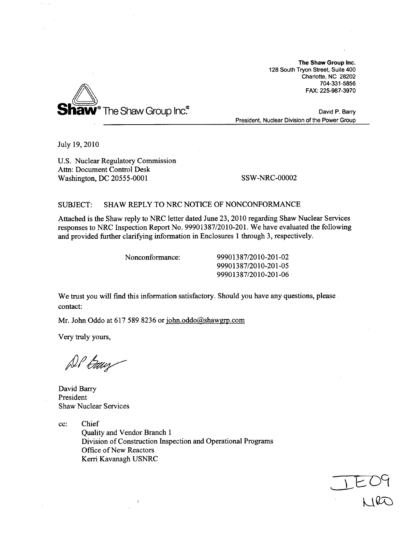The Shaw Group Inc. 128 South Tryon Street, Suite 400 Charlotte, NC 28202 704-331-5856 FAX: 225-987-3970



David P. Barry President, Nuclear Division of the Power Group

July 19, 2010

U.S. Nuclear Regulatory Commission Attn: Document Control Desk Washington, DC 20555-0001 SSW-NRC-00002

# SUBJECT: SHAW REPLY TO NRC NOTICE OF NONCONFORMANCE

Attached is the Shaw reply to NRC letter dated June 23, 2010 regarding Shaw Nuclear Services responses to NRC Inspection Report No. 99901387/2010-201. We have evaluated the following and provided further clarifying information in Enclosures 1 through 3, respectively.

Nonconformance: 99901387/2010-201-02 99901387/2010-201-05 99901387/2010-201-06

We trust you will find this information satisfactory. Should you have any questions, please contact:

Mr. John Oddo at 617 589 8236 or john.oddo@shawgrp.com

Very truly yours,

DP Exwy

David Barry President Shaw Nuclear Services

cc: Chief Quality and Vendor Branch 1 Division of Construction Inspection and Operational Programs Office of New Reactors Kerri Kavanagh USNRC

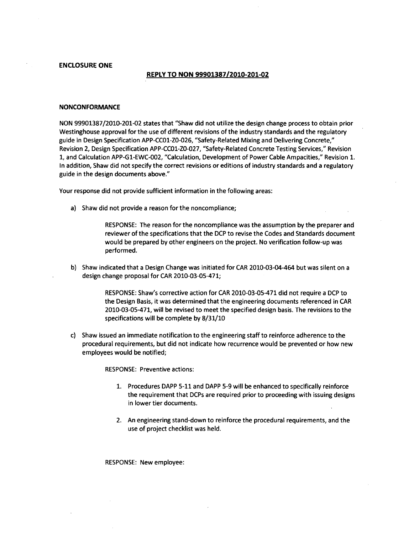**ENCLOSURE ONE**

#### REPLY TO **NON 99901387/2010-201-02**

#### **NONCONFORMANCE**

NON 99901387/2010-201-02 states that "Shaw did not utilize the design change process to obtain prior Westinghouse approval for the use of different revisions of the industry standards and the regulatory guide in Design Specification APP-CC01-ZO-026, "Safety-Related Mixing and Delivering Concrete," Revision 2, Design Specification APP-CC01-ZO-027, "Safety-Related Concrete Testing Services," Revision 1, and Calculation APP-G1-EWC-002, "Calculation, Development of Power Cable Ampacities," Revision 1. In addition, Shaw did not specify the correct revisions or editions of industry standards and a regulatory guide in the design documents above."

Your response did not provide sufficient information in the following areas:

a) Shaw did not provide a reason for the noncompliance;

RESPONSE: The reason for the noncompliance was the assumption by the preparer and reviewer of the specifications that the DCP to revise the Codes and Standards document would be prepared by other engineers on the project. No verification follow-up was performed.

b) Shaw indicated that a Design Change was initiated for CAR 2010-03-04-464 but was silent on a design change proposal for CAR 2010-03-05-471;

> RESPONSE: Shaw's corrective action for CAR 2010-03-05-471 did not require a DCP to the Design Basis, it was determined that the engineering documents referenced in CAR 2010-03-05-471, will be revised to meet the specified design basis. The revisions to the specifications will be complete by 8/31/10

c) Shaw issued an immediate notification to the engineering staff to reinforce adherence to the procedural requirements, but did not indicate how recurrence would be prevented or how new employees would be notified;

RESPONSE: Preventive actions:

- 1. Procedures DAPP 5-11 and DAPP 5-9 will be enhanced to specifically reinforce the requirement that DCPs are required prior to proceeding with issuing designs in lower tier documents.
- 2. An engineering stand-down to reinforce the procedural requirements, and the use of project checklist was held.

RESPONSE: New employee: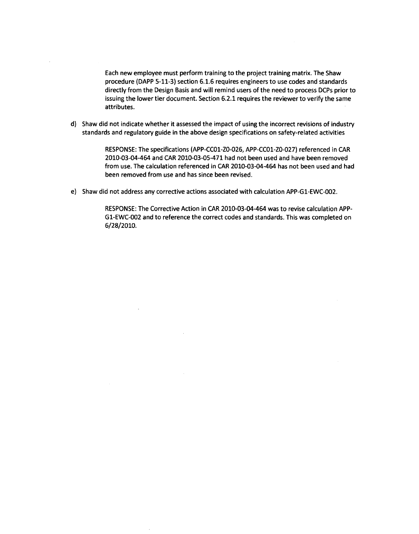Each new employee must perform training to the project training matrix. The Shaw procedure (DAPP 5-11-3) section 6.1.6 requires engineers to use codes and standards directly from the Design Basis and will remind users of the need to process DCPs prior to issuing the lower tier document. Section 6.2.1 requires the reviewer to verify the same attributes.

d) Shaw did not indicate whether it assessed the impact of using the incorrect revisions of industry standards and regulatory guide in the above design specifications on safety-related activities

> RESPONSE: The specifications (APP-CC01-ZO-026, APP-CC01-ZO-027) referenced in CAR 2010-03-04-464 and CAR 2010-03-05-471 had not been used and have been removed from use. The calculation referenced in CAR 2010-03-04-464 has not been used and had been removed from use and has since been revised.

e) Shaw did not address any corrective actions associated with calculation APP-G1-EWC-002.

RESPONSE: The Corrective Action in CAR 2010-03-04-464 was to revise calculation APP-G1-EWC-002 and to reference the correct codes and standards. This was completed on 6/28/2010.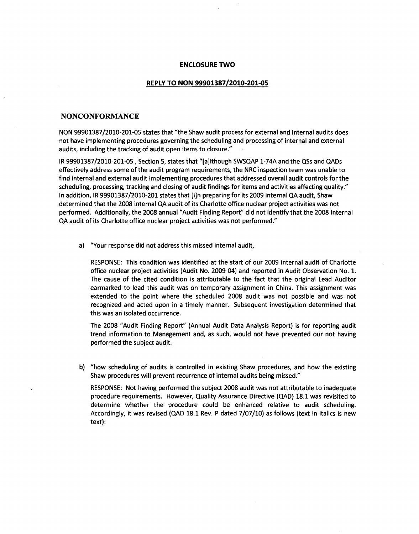# **ENCLOSURE** TWO

#### REPLY TO **NON 99901387/2010-201-05**

# **NONCONFORMANCE**

**NON 99901387/2010-201-05** states that "the Shaw audit process for external and internal audits does not have implementing procedures governing the scheduling and processing of internal and external audits, including the tracking of audit open items to closure." **-**

IR **99901387/2010-201-05,** Section **5,** states that "[a]lthough **SWSQAP** 1-74A and the QSs and QADs effectively address some of the audit program requirements, the NRC inspection team was unable to find internal and external audit implementing procedures that addressed overall audit controls for the scheduling, processing, tracking and closing of audit findings for items and activities affecting quality." In addition, IR **99901387/2010-201** states that [i]n preparing for its **2009** internal **QA** audit, Shaw determined that the **2008** internal **QA** audit of its Charlotte office nuclear project activities was not performed. Additionally, the **2008** annual "Audit Finding Report" did not identify that the **2008** Internal **QA** audit of its Charlotte office nuclear project activities was not performed."

a) "Your response did not address this missed internal audit,

**RESPONSE:** This condition was identified at the start of our **2009** internal audit of Charlotte office nuclear project activities (Audit No. 2009-04) and reported in Audit Observation No. **1.** The cause of the cited condition is attributable to the fact that the original Lead Auditor earmarked to lead this audit was on temporary assignment in China. This assignment was extended to the point where the scheduled **2008** audit was not possible and was not recognized and acted upon in a timely manner. Subsequent investigation determined that this was an isolated occurrence.

The **2008** "Audit Finding Report" (Annual Audit Data Analysis Report) is for reporting audit trend information to Management and, as such, would not have prevented our not having performed the subject audit.

**b)** "how scheduling of audits is controlled in existing Shaw procedures, and how the existing Shaw procedures will prevent recurrence of internal audits being missed."

**RESPONSE:** Not having performed the subject **2008** audit was not attributable to inadequate procedure requirements. However, Quality Assurance Directive **(QAD) 18.1** was revisited to determine whether the procedure could be enhanced relative to audit scheduling. Accordingly, it was revised **(QAD 18.1** Rev. P dated **7/07/10)** as follows (text in italics is new text):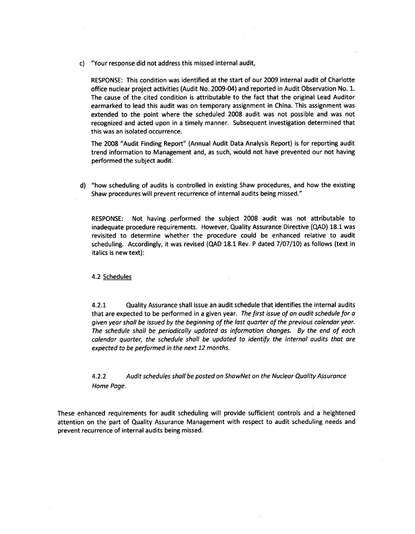c) "Your response did not address this missed internal audit,

**RESPONSE:** This condition was identified at the start of our **2009** internal audit of Charlotte office nuclear project activities (Audit No. 2009-04) and reported in Audit Observation No. **1.** The cause of the cited condition is attributable to the fact that the original Lead Auditor earmarked to lead this audit was on temporary assignment in China. This assignment was extended to the point where the scheduled **2008** audit was not possible and was not recognized and acted upon in a timely manner. Subsequent investigation determined that this was an isolated occurrence.

The **2008** "Audit Finding Report" (Annual Audit Data Analysis Report) is for reporting audit trend information to Management and, as such, would not have prevented our not having performed the subject audit.

**d)** "how scheduling of audits is controlled in existing Shaw procedures, and how the existing Shaw procedures will prevent recurrence of internal audits being missed."

**RESPONSE:** Not having performed the subject **2008** audit was not attributable to inadequate procedure requirements. However, Quality Assurance Directive **(QAD) 18.1** was revisited to determine whether the procedure could be enhanced relative to audit scheduling. Accordingly, it was revised **(QAD 18.1** Rev. P dated **7/07/10)** as follows (text in italics is new text):

4.2 Schedules

4.2.1 Quality Assurance shall issue an audit schedule that identifies the internal audits that are expected to be performed in a given year. *The first issue of an audit schedule for a given year shall be issued by the beginning of the lost quarter of the previous calendar year. The schedule shall be periodically updated as information changes. By the end of each calendar quarter, the schedule shall be updated to identify the internal audits that are expected to be performed in the next 12 months.*

4.2.2 *Audit schedules shall be posted on ShawNet on the Nuclear Quality Assurance Home Page.*

These enhanced requirements for audit scheduling will provide sufficient controls and a heightened attention on the part of Quality Assurance Management with respect to audit scheduling needs and prevent recurrence of internal audits being missed.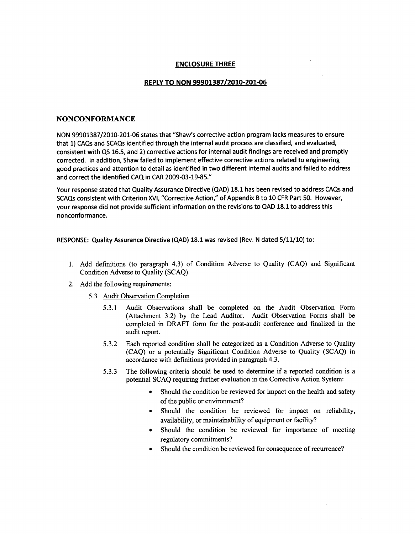## **ENCLOSURE** THREE

## REPLY TO **NON 99901387/2010-201-06**

### **NONCONFORMANCE**

NON 99901387/2010-201-06 states that "Shaw's corrective action program lacks measures to ensure that 1) CAQs and SCAQs identified through the internal audit process are classified, and evaluated, consistent with QS 16.5, and 2) corrective actions for internal audit findings are received and promptly corrected. In addition, Shaw failed to implement effective corrective actions related to engineering good practices and attention to detail as identified in two different internal audits and failed to address and correct the identified CAQ in CAR 2009-03-19-85."

Your response stated that Quality Assurance Directive (QAD) 18.1 has been revised to address CAQs and SCAQs consistent with Criterion XVI, "Corrective Action," of Appendix B to 10 CFR Part 50. However, your response did not provide sufficient information on the revisions to QAD 18.1 to address this nonconformance.

RESPONSE: Quality Assurance Directive (QAD) 18.1 was revised (Rev. N dated 5/11/10) to:

- 1. Add definitions (to paragraph 4.3) of Condition Adverse to Quality (CAQ) and Significant Condition Adverse to Quality (SCAQ).
- 2. Add the following requirements:
	- 5.3 Audit Observation Completion
		- 5.3.1 Audit Observations shall be completed on the Audit Observation Form (Attachment 3.2) by the Lead Auditor. Audit Observation Forms shall be completed in DRAFT form for the post-audit conference and finalized in the audit report.
		- 5.3.2 Each reported condition shall be categorized as a Condition Adverse to Quality (CAQ) or a potentially Significant Condition Adverse to Quality (SCAQ) in accordance with definitions provided in paragraph 4.3.
		- 5.3.3 The following criteria should be used to determine if a reported condition is a potential SCAQ requiring further evaluation in the Corrective Action System:
			- **"** Should the condition be reviewed for impact on the health and safety of the public or environment?
			- Should the condition be reviewed for impact on reliability, availability, or maintainability of equipment or facility?
			- **"** Should the condition be reviewed for importance of meeting regulatory commitments?
			- **"** Should the condition be reviewed for consequence of recurrence?